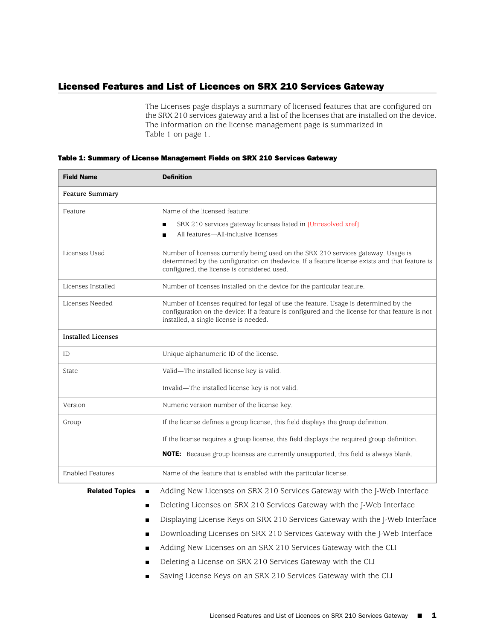## Licensed Features and List of Licences on SRX 210 Services Gateway

<span id="page-0-0"></span>The Licenses page displays a summary of licensed features that are configured on the SRX 210 services gateway and a list of the licenses that are installed on the device. The information on the license management page is summarized in [Table 1 on page 1](#page-0-0).

| <b>Field Name</b>         | <b>Definition</b>                                                                                                                                                                       |
|---------------------------|-----------------------------------------------------------------------------------------------------------------------------------------------------------------------------------------|
| <b>Feature Summary</b>    |                                                                                                                                                                                         |
| Feature                   | Name of the licensed feature:                                                                                                                                                           |
|                           | SRX 210 services gateway licenses listed in [Unresolved xref]<br>п                                                                                                                      |
|                           | All features-All-inclusive licenses<br>п                                                                                                                                                |
| Licenses Used             | Number of licenses currently being used on the SRX 210 services gateway. Usage is<br>determined by the configuration on thedevice. If a feature license exists and that feature is      |
|                           | configured, the license is considered used.                                                                                                                                             |
| Licenses Installed        | Number of licenses installed on the device for the particular feature.                                                                                                                  |
| Licenses Needed           | Number of licenses required for legal of use the feature. Usage is determined by the<br>configuration on the device: If a feature is configured and the license for that feature is not |
|                           | installed, a single license is needed.                                                                                                                                                  |
| <b>Installed Licenses</b> |                                                                                                                                                                                         |
| ID                        | Unique alphanumeric ID of the license.                                                                                                                                                  |
| State                     | Valid-The installed license key is valid.                                                                                                                                               |
|                           | Invalid-The installed license key is not valid.                                                                                                                                         |
| Version                   | Numeric version number of the license key.                                                                                                                                              |
| Group                     | If the license defines a group license, this field displays the group definition.                                                                                                       |
|                           | If the license requires a group license, this field displays the required group definition.                                                                                             |
|                           | NOTE: Because group licenses are currently unsupported, this field is always blank.                                                                                                     |
| <b>Enabled Features</b>   | Name of the feature that is enabled with the particular license.                                                                                                                        |
| <b>Related Topics</b>     | Adding New Licenses on SRX 210 Services Gateway with the J-Web Interface                                                                                                                |
| ■                         | Deleting Licenses on SRX 210 Services Gateway with the J-Web Interface                                                                                                                  |
| п                         | Displaying License Keys on SRX 210 Services Gateway with the J-Web Interface                                                                                                            |
|                           | Downloading Licenses on SRX 210 Services Gateway with the J-Web Interface                                                                                                               |
|                           | Adding New Licenses on an SRX 210 Services Gateway with the CLI                                                                                                                         |

## Table 1: Summary of License Management Fields on SRX 210 Services Gateway

- [Deleting a License on SRX 210 Services Gateway with the CLI](../task/operational/srx-manage-licenses-deletelicences-cli.html)
- [Saving License Keys on an SRX 210 Services Gateway with the CLI](../task/operational/srx-manage-licenses-savelicences-cli.html)